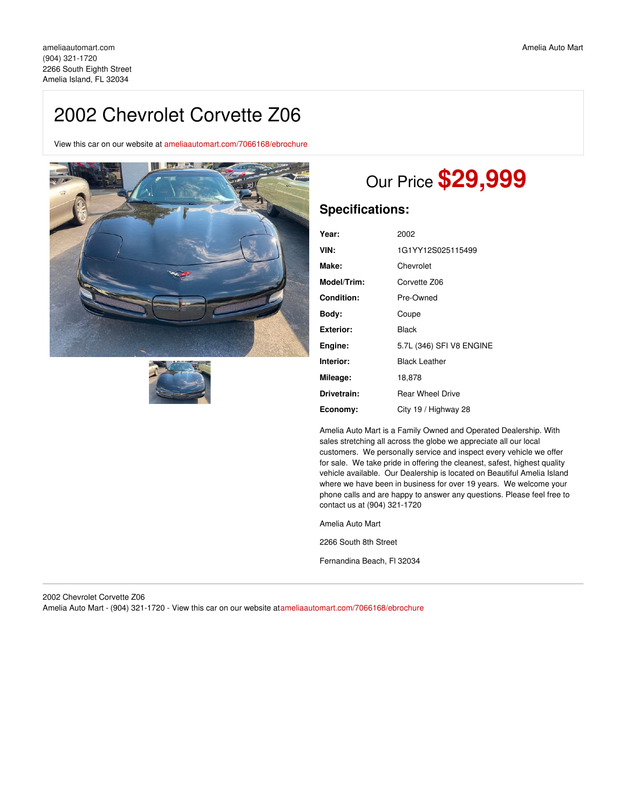# 2002 Chevrolet Corvette Z06

View this car on our website at [ameliaautomart.com/7066168/ebrochure](https://ameliaautomart.com/vehicle/7066168/2002-chevrolet-corvette-z06-amelia-island-fl-32034/7066168/ebrochure)





# Our Price **\$29,999**

## **Specifications:**

| Year:       | 2002                     |
|-------------|--------------------------|
| VIN:        | 1G1YY12S025115499        |
| Make:       | Chevrolet                |
| Model/Trim: | Corvette Z06             |
| Condition:  | Pre-Owned                |
| Body:       | Coupe                    |
| Exterior:   | Black                    |
| Engine:     | 5.7L (346) SFI V8 ENGINE |
| Interior:   | <b>Black Leather</b>     |
| Mileage:    | 18,878                   |
| Drivetrain: | <b>Rear Wheel Drive</b>  |
| Economy:    | City 19 / Highway 28     |

Amelia Auto Mart is a Family Owned and Operated Dealership. With sales stretching all across the globe we appreciate all our local customers. We personally service and inspect every vehicle we offer for sale. We take pride in offering the cleanest, safest, highest quality vehicle available. Our Dealership is located on Beautiful Amelia Island where we have been in business for over 19 years. We welcome your phone calls and are happy to answer any questions. Please feel free to contact us at (904) 321-1720

Amelia Auto Mart

2266 South 8th Street

Fernandina Beach, Fl 32034

2002 Chevrolet Corvette Z06 Amelia Auto Mart - (904) 321-1720 - View this car on our website at[ameliaautomart.com/7066168/ebrochure](https://ameliaautomart.com/vehicle/7066168/2002-chevrolet-corvette-z06-amelia-island-fl-32034/7066168/ebrochure)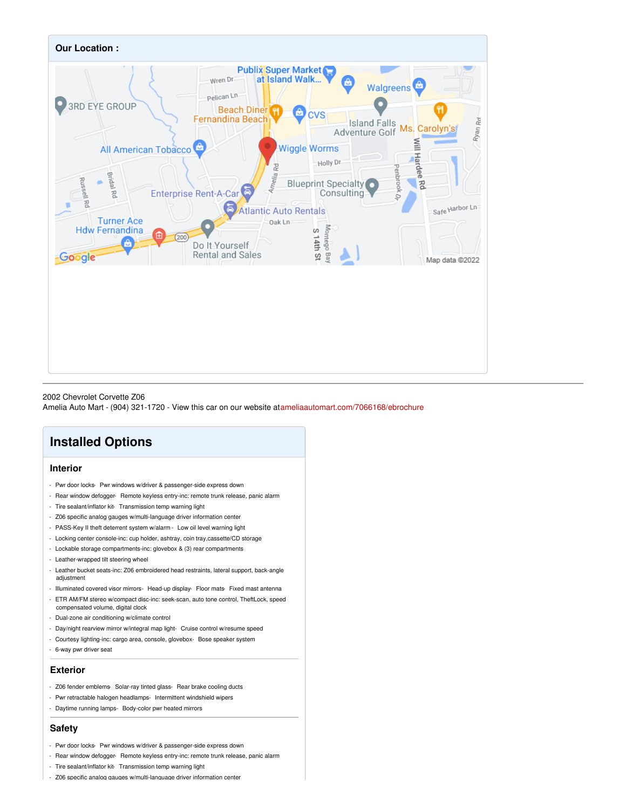

#### 2002 Chevrolet Corvette Z06

Amelia Auto Mart - (904) 321-1720 - View this car on our website at[ameliaautomart.com/7066168/ebrochure](https://ameliaautomart.com/vehicle/7066168/2002-chevrolet-corvette-z06-amelia-island-fl-32034/7066168/ebrochure)

## **Installed Options**

### **Interior**

- Pwr door locks- Pwr windows w/driver & passenger-side express down
- Rear window defogger- Remote keyless entry-inc: remote trunk release, panic alarm
- Tire sealant/inflator kit- Transmission temp warning light
- Z06 specific analog gauges w/multi-language driver information center
- PASS-Key II theft deterrent system w/alarm Low oil level warning light
- Locking center console-inc: cup holder, ashtray, coin tray,cassette/CD storage
- Lockable storage compartments-inc: glovebox & (3) rear compartments
- Leather-wrapped tilt steering wheel
- Leather bucket seats-inc: Z06 embroidered head restraints, lateral support, back-angle adjustment
- Illuminated covered visor mirrors- Head-up display- Floor mats- Fixed mast antenna
- ETR AM/FM stereo w/compact disc-inc: seek-scan, auto tone control, TheftLock, speed
- compensated volume, digital clock
- Dual-zone air conditioning w/climate control
- Day/night rearview mirror w/integral map light- Cruise control w/resume speed
- Courtesy lighting-inc: cargo area, console, glovebox- Bose speaker system
- 6-way pwr driver seat

#### **Exterior**

- Z06 fender emblems- Solar-ray tinted glass- Rear brake cooling ducts
- Pwr retractable halogen headlamps- Intermittent windshield wipers
- Daytime running lamps- Body-color pwr heated mirrors

#### **Safety**

- Pwr door locks- Pwr windows w/driver & passenger-side express down
- Rear window defogger- Remote keyless entry-inc: remote trunk release, panic alarm
- Tire sealant/inflator kit- Transmission temp warning light
- Z06 specific analog gauges w/multi-language driver information center